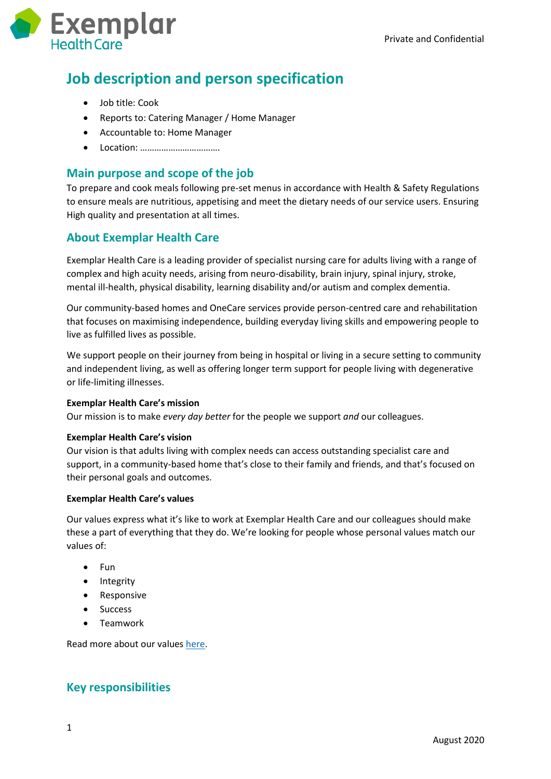

# **Job description and person specification**

- Job title: Cook
- Reports to: Catering Manager / Home Manager
- Accountable to: Home Manager
- Location: ……………………………

# **Main purpose and scope of the job**

To prepare and cook meals following pre-set menus in accordance with Health & Safety Regulations to ensure meals are nutritious, appetising and meet the dietary needs of our service users. Ensuring High quality and presentation at all times.

# **About Exemplar Health Care**

Exemplar Health Care is a leading provider of specialist nursing care for adults living with a range of complex and high acuity needs, arising from neuro-disability, brain injury, spinal injury, stroke, mental ill-health, physical disability, learning disability and/or autism and complex dementia.

Our community-based homes and OneCare services provide person-centred care and rehabilitation that focuses on maximising independence, building everyday living skills and empowering people to live as fulfilled lives as possible.

We support people on their journey from being in hospital or living in a secure setting to community and independent living, as well as offering longer term support for people living with degenerative or life-limiting illnesses.

#### **Exemplar Health Care's mission**

Our mission is to make *every day better* for the people we support *and* our colleagues.

#### **Exemplar Health Care's vision**

Our vision is that adults living with complex needs can access outstanding specialist care and support, in a community-based home that's close to their family and friends, and that's focused on their personal goals and outcomes.

#### **Exemplar Health Care's values**

Our values express what it's like to work at Exemplar Health Care and our colleagues should make these a part of everything that they do. We're looking for people whose personal values match our values of:

- $\bullet$  Fun
- Integrity
- Responsive
- Success
- Teamwork

Read more about our values [here.](https://www.exemplarhc.com/about-us/our-values)

## **Key responsibilities**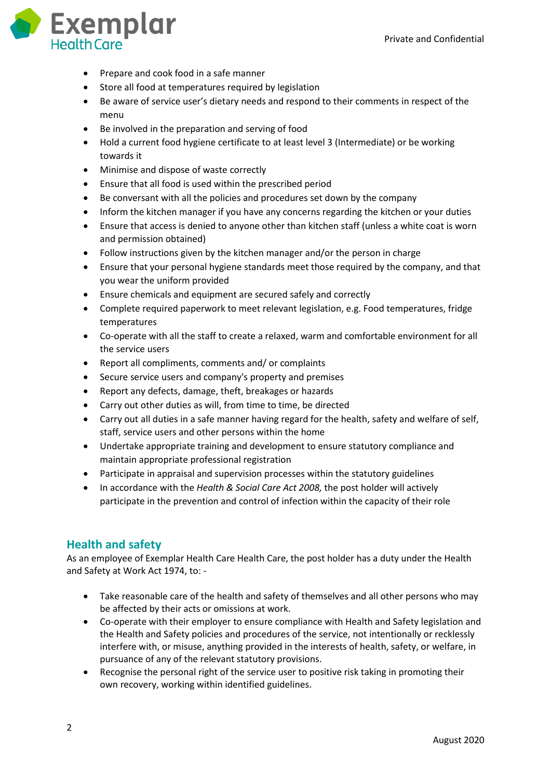

- Prepare and cook food in a safe manner
- Store all food at temperatures required by legislation
- Be aware of service user's dietary needs and respond to their comments in respect of the menu
- Be involved in the preparation and serving of food
- Hold a current food hygiene certificate to at least level 3 (Intermediate) or be working towards it
- Minimise and dispose of waste correctly
- Ensure that all food is used within the prescribed period
- Be conversant with all the policies and procedures set down by the company
- Inform the kitchen manager if you have any concerns regarding the kitchen or your duties
- Ensure that access is denied to anyone other than kitchen staff (unless a white coat is worn and permission obtained)
- Follow instructions given by the kitchen manager and/or the person in charge
- Ensure that your personal hygiene standards meet those required by the company, and that you wear the uniform provided
- Ensure chemicals and equipment are secured safely and correctly
- Complete required paperwork to meet relevant legislation, e.g. Food temperatures, fridge temperatures
- Co-operate with all the staff to create a relaxed, warm and comfortable environment for all the service users
- Report all compliments, comments and/ or complaints
- Secure service users and company's property and premises
- Report any defects, damage, theft, breakages or hazards
- Carry out other duties as will, from time to time, be directed
- Carry out all duties in a safe manner having regard for the health, safety and welfare of self, staff, service users and other persons within the home
- Undertake appropriate training and development to ensure statutory compliance and maintain appropriate professional registration
- Participate in appraisal and supervision processes within the statutory guidelines
- In accordance with the *Health & Social Care Act 2008,* the post holder will actively participate in the prevention and control of infection within the capacity of their role

## **Health and safety**

As an employee of Exemplar Health Care Health Care, the post holder has a duty under the Health and Safety at Work Act 1974, to: -

- Take reasonable care of the health and safety of themselves and all other persons who may be affected by their acts or omissions at work.
- Co-operate with their employer to ensure compliance with Health and Safety legislation and the Health and Safety policies and procedures of the service, not intentionally or recklessly interfere with, or misuse, anything provided in the interests of health, safety, or welfare, in pursuance of any of the relevant statutory provisions.
- Recognise the personal right of the service user to positive risk taking in promoting their own recovery, working within identified guidelines.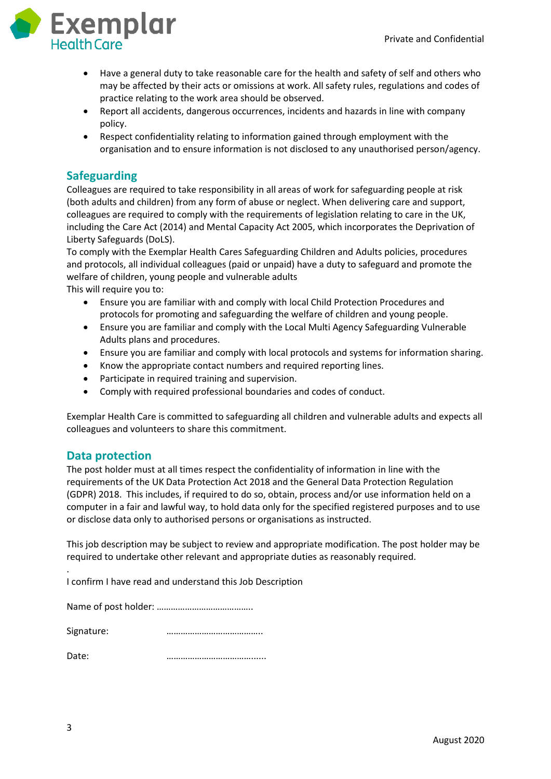

- Have a general duty to take reasonable care for the health and safety of self and others who may be affected by their acts or omissions at work. All safety rules, regulations and codes of practice relating to the work area should be observed.
- Report all accidents, dangerous occurrences, incidents and hazards in line with company policy.
- Respect confidentiality relating to information gained through employment with the organisation and to ensure information is not disclosed to any unauthorised person/agency.

## **Safeguarding**

Colleagues are required to take responsibility in all areas of work for safeguarding people at risk (both adults and children) from any form of abuse or neglect. When delivering care and support, colleagues are required to comply with the requirements of legislation relating to care in the UK, including the Care Act (2014) and Mental Capacity Act 2005, which incorporates the Deprivation of Liberty Safeguards (DoLS).

To comply with the Exemplar Health Cares Safeguarding Children and Adults policies, procedures and protocols, all individual colleagues (paid or unpaid) have a duty to safeguard and promote the welfare of children, young people and vulnerable adults This will require you to:

- Ensure you are familiar with and comply with local Child Protection Procedures and protocols for promoting and safeguarding the welfare of children and young people.
- Ensure you are familiar and comply with the Local Multi Agency Safeguarding Vulnerable Adults plans and procedures.
- Ensure you are familiar and comply with local protocols and systems for information sharing.
- Know the appropriate contact numbers and required reporting lines.
- Participate in required training and supervision.
- Comply with required professional boundaries and codes of conduct.

Exemplar Health Care is committed to safeguarding all children and vulnerable adults and expects all colleagues and volunteers to share this commitment.

### **Data protection**

The post holder must at all times respect the confidentiality of information in line with the requirements of the UK Data Protection Act 2018 and the General Data Protection Regulation (GDPR) 2018. This includes, if required to do so, obtain, process and/or use information held on a computer in a fair and lawful way, to hold data only for the specified registered purposes and to use or disclose data only to authorised persons or organisations as instructed.

This job description may be subject to review and appropriate modification. The post holder may be required to undertake other relevant and appropriate duties as reasonably required.

. I confirm I have read and understand this Job Description

| Signature: |  |
|------------|--|
| Date:      |  |